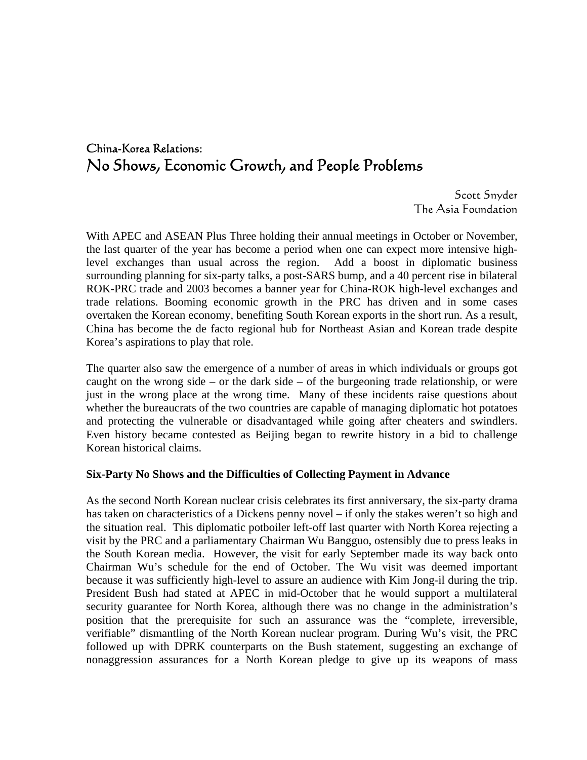# China-Korea Relations: No Shows, Economic Growth, and People Problems

Scott Snyder The Asia Foundation

With APEC and ASEAN Plus Three holding their annual meetings in October or November, the last quarter of the year has become a period when one can expect more intensive highlevel exchanges than usual across the region. Add a boost in diplomatic business surrounding planning for six-party talks, a post-SARS bump, and a 40 percent rise in bilateral ROK-PRC trade and 2003 becomes a banner year for China-ROK high-level exchanges and trade relations. Booming economic growth in the PRC has driven and in some cases overtaken the Korean economy, benefiting South Korean exports in the short run. As a result, China has become the de facto regional hub for Northeast Asian and Korean trade despite Korea's aspirations to play that role.

The quarter also saw the emergence of a number of areas in which individuals or groups got caught on the wrong side – or the dark side – of the burgeoning trade relationship, or were just in the wrong place at the wrong time. Many of these incidents raise questions about whether the bureaucrats of the two countries are capable of managing diplomatic hot potatoes and protecting the vulnerable or disadvantaged while going after cheaters and swindlers. Even history became contested as Beijing began to rewrite history in a bid to challenge Korean historical claims.

#### **Six-Party No Shows and the Difficulties of Collecting Payment in Advance**

As the second North Korean nuclear crisis celebrates its first anniversary, the six-party drama has taken on characteristics of a Dickens penny novel – if only the stakes weren't so high and the situation real. This diplomatic potboiler left-off last quarter with North Korea rejecting a visit by the PRC and a parliamentary Chairman Wu Bangguo, ostensibly due to press leaks in the South Korean media. However, the visit for early September made its way back onto Chairman Wu's schedule for the end of October. The Wu visit was deemed important because it was sufficiently high-level to assure an audience with Kim Jong-il during the trip. President Bush had stated at APEC in mid-October that he would support a multilateral security guarantee for North Korea, although there was no change in the administration's position that the prerequisite for such an assurance was the "complete, irreversible, verifiable" dismantling of the North Korean nuclear program. During Wu's visit, the PRC followed up with DPRK counterparts on the Bush statement, suggesting an exchange of nonaggression assurances for a North Korean pledge to give up its weapons of mass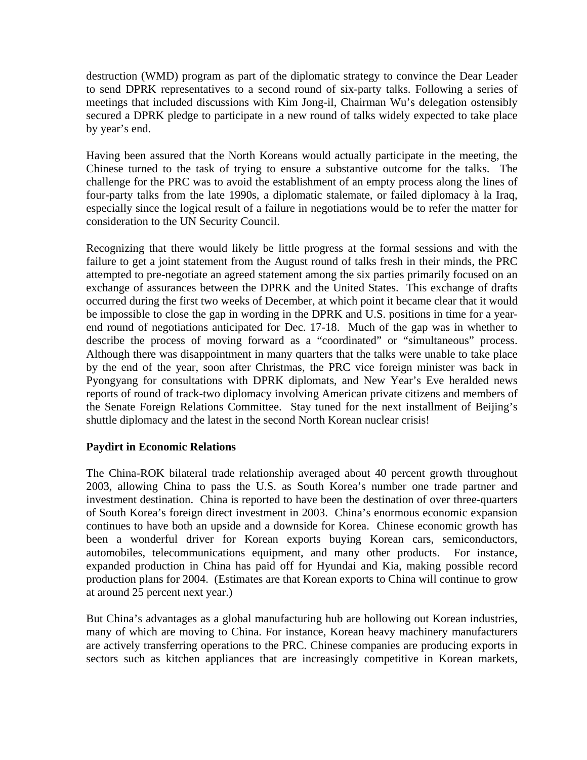destruction (WMD) program as part of the diplomatic strategy to convince the Dear Leader to send DPRK representatives to a second round of six-party talks. Following a series of meetings that included discussions with Kim Jong-il, Chairman Wu's delegation ostensibly secured a DPRK pledge to participate in a new round of talks widely expected to take place by year's end.

Having been assured that the North Koreans would actually participate in the meeting, the Chinese turned to the task of trying to ensure a substantive outcome for the talks. The challenge for the PRC was to avoid the establishment of an empty process along the lines of four-party talks from the late 1990s, a diplomatic stalemate, or failed diplomacy à la Iraq, especially since the logical result of a failure in negotiations would be to refer the matter for consideration to the UN Security Council.

Recognizing that there would likely be little progress at the formal sessions and with the failure to get a joint statement from the August round of talks fresh in their minds, the PRC attempted to pre-negotiate an agreed statement among the six parties primarily focused on an exchange of assurances between the DPRK and the United States. This exchange of drafts occurred during the first two weeks of December, at which point it became clear that it would be impossible to close the gap in wording in the DPRK and U.S. positions in time for a yearend round of negotiations anticipated for Dec. 17-18. Much of the gap was in whether to describe the process of moving forward as a "coordinated" or "simultaneous" process. Although there was disappointment in many quarters that the talks were unable to take place by the end of the year, soon after Christmas, the PRC vice foreign minister was back in Pyongyang for consultations with DPRK diplomats, and New Year's Eve heralded news reports of round of track-two diplomacy involving American private citizens and members of the Senate Foreign Relations Committee. Stay tuned for the next installment of Beijing's shuttle diplomacy and the latest in the second North Korean nuclear crisis!

## **Paydirt in Economic Relations**

The China-ROK bilateral trade relationship averaged about 40 percent growth throughout 2003, allowing China to pass the U.S. as South Korea's number one trade partner and investment destination. China is reported to have been the destination of over three-quarters of South Korea's foreign direct investment in 2003. China's enormous economic expansion continues to have both an upside and a downside for Korea. Chinese economic growth has been a wonderful driver for Korean exports buying Korean cars, semiconductors, automobiles, telecommunications equipment, and many other products. For instance, expanded production in China has paid off for Hyundai and Kia, making possible record production plans for 2004. (Estimates are that Korean exports to China will continue to grow at around 25 percent next year.)

But China's advantages as a global manufacturing hub are hollowing out Korean industries, many of which are moving to China. For instance, Korean heavy machinery manufacturers are actively transferring operations to the PRC. Chinese companies are producing exports in sectors such as kitchen appliances that are increasingly competitive in Korean markets,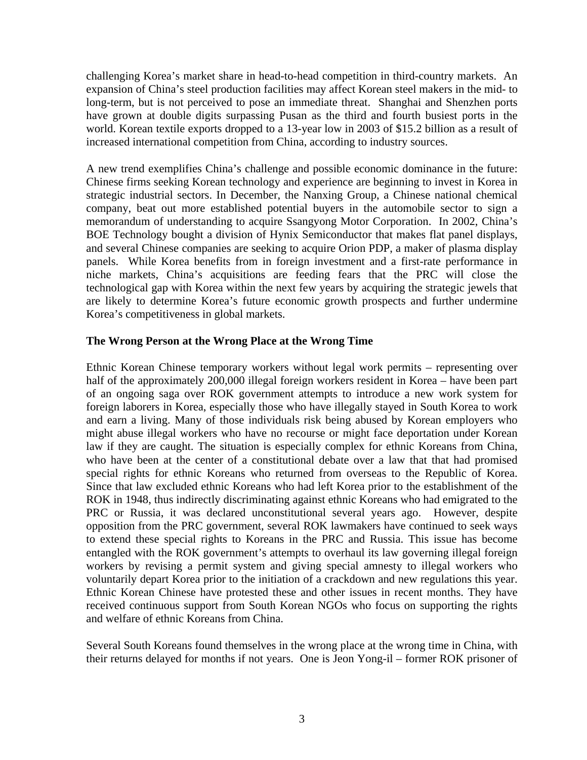challenging Korea's market share in head-to-head competition in third-country markets. An expansion of China's steel production facilities may affect Korean steel makers in the mid- to long-term, but is not perceived to pose an immediate threat. Shanghai and Shenzhen ports have grown at double digits surpassing Pusan as the third and fourth busiest ports in the world. Korean textile exports dropped to a 13-year low in 2003 of \$15.2 billion as a result of increased international competition from China, according to industry sources.

A new trend exemplifies China's challenge and possible economic dominance in the future: Chinese firms seeking Korean technology and experience are beginning to invest in Korea in strategic industrial sectors. In December, the Nanxing Group, a Chinese national chemical company, beat out more established potential buyers in the automobile sector to sign a memorandum of understanding to acquire Ssangyong Motor Corporation. In 2002, China's BOE Technology bought a division of Hynix Semiconductor that makes flat panel displays, and several Chinese companies are seeking to acquire Orion PDP, a maker of plasma display panels. While Korea benefits from in foreign investment and a first-rate performance in niche markets, China's acquisitions are feeding fears that the PRC will close the technological gap with Korea within the next few years by acquiring the strategic jewels that are likely to determine Korea's future economic growth prospects and further undermine Korea's competitiveness in global markets.

### **The Wrong Person at the Wrong Place at the Wrong Time**

Ethnic Korean Chinese temporary workers without legal work permits – representing over half of the approximately 200,000 illegal foreign workers resident in Korea – have been part of an ongoing saga over ROK government attempts to introduce a new work system for foreign laborers in Korea, especially those who have illegally stayed in South Korea to work and earn a living. Many of those individuals risk being abused by Korean employers who might abuse illegal workers who have no recourse or might face deportation under Korean law if they are caught. The situation is especially complex for ethnic Koreans from China, who have been at the center of a constitutional debate over a law that that had promised special rights for ethnic Koreans who returned from overseas to the Republic of Korea. Since that law excluded ethnic Koreans who had left Korea prior to the establishment of the ROK in 1948, thus indirectly discriminating against ethnic Koreans who had emigrated to the PRC or Russia, it was declared unconstitutional several years ago. However, despite opposition from the PRC government, several ROK lawmakers have continued to seek ways to extend these special rights to Koreans in the PRC and Russia. This issue has become entangled with the ROK government's attempts to overhaul its law governing illegal foreign workers by revising a permit system and giving special amnesty to illegal workers who voluntarily depart Korea prior to the initiation of a crackdown and new regulations this year. Ethnic Korean Chinese have protested these and other issues in recent months. They have received continuous support from South Korean NGOs who focus on supporting the rights and welfare of ethnic Koreans from China.

Several South Koreans found themselves in the wrong place at the wrong time in China, with their returns delayed for months if not years. One is Jeon Yong-il – former ROK prisoner of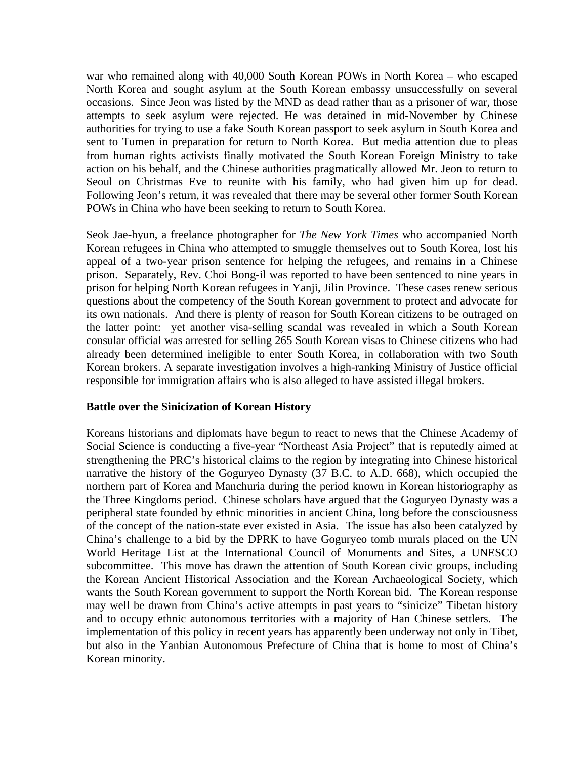war who remained along with 40,000 South Korean POWs in North Korea – who escaped North Korea and sought asylum at the South Korean embassy unsuccessfully on several occasions. Since Jeon was listed by the MND as dead rather than as a prisoner of war, those attempts to seek asylum were rejected. He was detained in mid-November by Chinese authorities for trying to use a fake South Korean passport to seek asylum in South Korea and sent to Tumen in preparation for return to North Korea. But media attention due to pleas from human rights activists finally motivated the South Korean Foreign Ministry to take action on his behalf, and the Chinese authorities pragmatically allowed Mr. Jeon to return to Seoul on Christmas Eve to reunite with his family, who had given him up for dead. Following Jeon's return, it was revealed that there may be several other former South Korean POWs in China who have been seeking to return to South Korea.

Seok Jae-hyun, a freelance photographer for *The New York Times* who accompanied North Korean refugees in China who attempted to smuggle themselves out to South Korea, lost his appeal of a two-year prison sentence for helping the refugees, and remains in a Chinese prison. Separately, Rev. Choi Bong-il was reported to have been sentenced to nine years in prison for helping North Korean refugees in Yanji, Jilin Province. These cases renew serious questions about the competency of the South Korean government to protect and advocate for its own nationals. And there is plenty of reason for South Korean citizens to be outraged on the latter point: yet another visa-selling scandal was revealed in which a South Korean consular official was arrested for selling 265 South Korean visas to Chinese citizens who had already been determined ineligible to enter South Korea, in collaboration with two South Korean brokers. A separate investigation involves a high-ranking Ministry of Justice official responsible for immigration affairs who is also alleged to have assisted illegal brokers.

### **Battle over the Sinicization of Korean History**

Koreans historians and diplomats have begun to react to news that the Chinese Academy of Social Science is conducting a five-year "Northeast Asia Project" that is reputedly aimed at strengthening the PRC's historical claims to the region by integrating into Chinese historical narrative the history of the Goguryeo Dynasty (37 B.C. to A.D. 668), which occupied the northern part of Korea and Manchuria during the period known in Korean historiography as the Three Kingdoms period. Chinese scholars have argued that the Goguryeo Dynasty was a peripheral state founded by ethnic minorities in ancient China, long before the consciousness of the concept of the nation-state ever existed in Asia. The issue has also been catalyzed by China's challenge to a bid by the DPRK to have Goguryeo tomb murals placed on the UN World Heritage List at the International Council of Monuments and Sites, a UNESCO subcommittee. This move has drawn the attention of South Korean civic groups, including the Korean Ancient Historical Association and the Korean Archaeological Society, which wants the South Korean government to support the North Korean bid. The Korean response may well be drawn from China's active attempts in past years to "sinicize" Tibetan history and to occupy ethnic autonomous territories with a majority of Han Chinese settlers. The implementation of this policy in recent years has apparently been underway not only in Tibet, but also in the Yanbian Autonomous Prefecture of China that is home to most of China's Korean minority.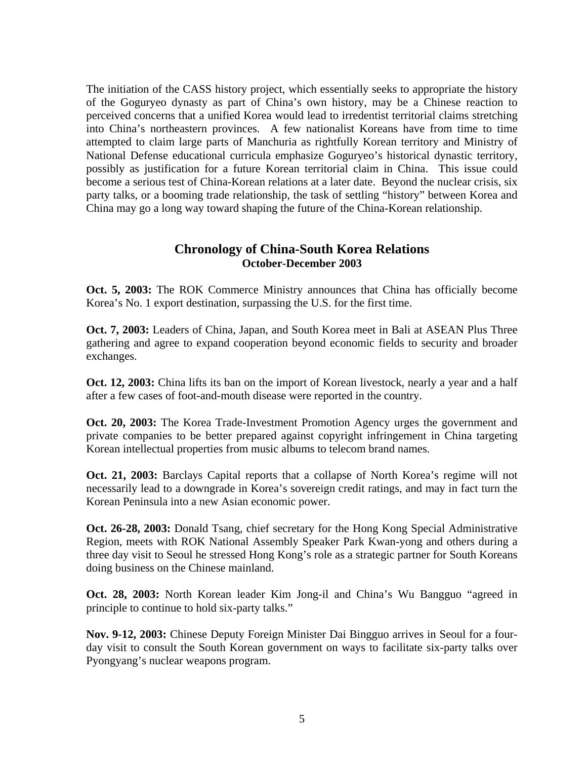The initiation of the CASS history project, which essentially seeks to appropriate the history of the Goguryeo dynasty as part of China's own history, may be a Chinese reaction to perceived concerns that a unified Korea would lead to irredentist territorial claims stretching into China's northeastern provinces. A few nationalist Koreans have from time to time attempted to claim large parts of Manchuria as rightfully Korean territory and Ministry of National Defense educational curricula emphasize Goguryeo's historical dynastic territory, possibly as justification for a future Korean territorial claim in China. This issue could become a serious test of China-Korean relations at a later date. Beyond the nuclear crisis, six party talks, or a booming trade relationship, the task of settling "history" between Korea and China may go a long way toward shaping the future of the China-Korean relationship.

## **Chronology of China-South Korea Relations October-December 2003**

**Oct. 5, 2003:** The ROK Commerce Ministry announces that China has officially become Korea's No. 1 export destination, surpassing the U.S. for the first time.

**Oct. 7, 2003:** Leaders of China, Japan, and South Korea meet in Bali at ASEAN Plus Three gathering and agree to expand cooperation beyond economic fields to security and broader exchanges.

**Oct. 12, 2003:** China lifts its ban on the import of Korean livestock, nearly a year and a half after a few cases of foot-and-mouth disease were reported in the country.

**Oct. 20, 2003:** The Korea Trade-Investment Promotion Agency urges the government and private companies to be better prepared against copyright infringement in China targeting Korean intellectual properties from music albums to telecom brand names.

**Oct. 21, 2003:** Barclays Capital reports that a collapse of North Korea's regime will not necessarily lead to a downgrade in Korea's sovereign credit ratings, and may in fact turn the Korean Peninsula into a new Asian economic power.

**Oct. 26-28, 2003:** Donald Tsang, chief secretary for the Hong Kong Special Administrative Region, meets with ROK National Assembly Speaker Park Kwan-yong and others during a three day visit to Seoul he stressed Hong Kong's role as a strategic partner for South Koreans doing business on the Chinese mainland.

**Oct. 28, 2003:** North Korean leader Kim Jong-il and China's Wu Bangguo "agreed in principle to continue to hold six-party talks."

**Nov. 9-12, 2003:** Chinese Deputy Foreign Minister Dai Bingguo arrives in Seoul for a fourday visit to consult the South Korean government on ways to facilitate six-party talks over Pyongyang's nuclear weapons program.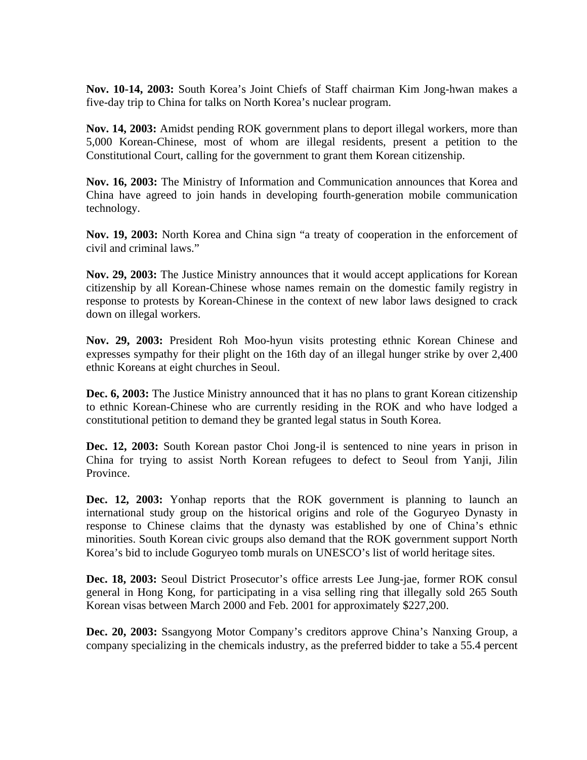**Nov. 10-14, 2003:** South Korea's Joint Chiefs of Staff chairman Kim Jong-hwan makes a five-day trip to China for talks on North Korea's nuclear program.

**Nov. 14, 2003:** Amidst pending ROK government plans to deport illegal workers, more than 5,000 Korean-Chinese, most of whom are illegal residents, present a petition to the Constitutional Court, calling for the government to grant them Korean citizenship.

**Nov. 16, 2003:** The Ministry of Information and Communication announces that Korea and China have agreed to join hands in developing fourth-generation mobile communication technology.

**Nov. 19, 2003:** North Korea and China sign "a treaty of cooperation in the enforcement of civil and criminal laws."

**Nov. 29, 2003:** The Justice Ministry announces that it would accept applications for Korean citizenship by all Korean-Chinese whose names remain on the domestic family registry in response to protests by Korean-Chinese in the context of new labor laws designed to crack down on illegal workers.

**Nov. 29, 2003:** President Roh Moo-hyun visits protesting ethnic Korean Chinese and expresses sympathy for their plight on the 16th day of an illegal hunger strike by over 2,400 ethnic Koreans at eight churches in Seoul.

**Dec. 6, 2003:** The Justice Ministry announced that it has no plans to grant Korean citizenship to ethnic Korean-Chinese who are currently residing in the ROK and who have lodged a constitutional petition to demand they be granted legal status in South Korea.

**Dec. 12, 2003:** South Korean pastor Choi Jong-il is sentenced to nine years in prison in China for trying to assist North Korean refugees to defect to Seoul from Yanji, Jilin Province.

**Dec. 12, 2003:** Yonhap reports that the ROK government is planning to launch an international study group on the historical origins and role of the Goguryeo Dynasty in response to Chinese claims that the dynasty was established by one of China's ethnic minorities. South Korean civic groups also demand that the ROK government support North Korea's bid to include Goguryeo tomb murals on UNESCO's list of world heritage sites.

**Dec. 18, 2003:** Seoul District Prosecutor's office arrests Lee Jung-jae, former ROK consul general in Hong Kong, for participating in a visa selling ring that illegally sold 265 South Korean visas between March 2000 and Feb. 2001 for approximately \$227,200.

**Dec. 20, 2003:** Ssangyong Motor Company's creditors approve China's Nanxing Group, a company specializing in the chemicals industry, as the preferred bidder to take a 55.4 percent